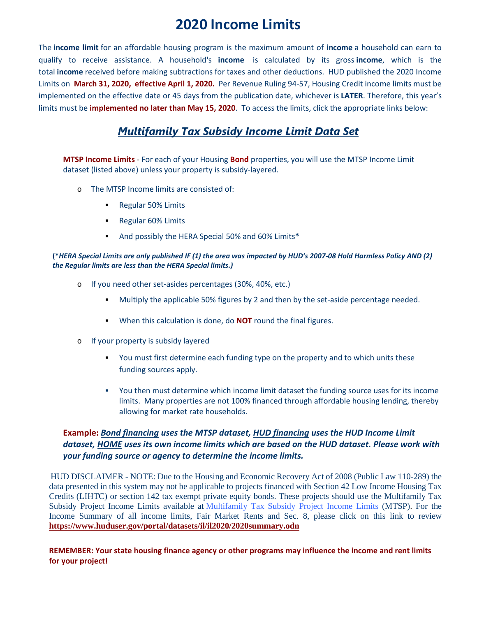## **2020 Income Limits**

The **income limit** for an affordable housing program is the maximum amount of **income** a household can earn to qualify to receive assistance. A household's **income** is calculated by its gross **income**, which is the total **income** received before making subtractions for taxes and other deductions. HUD published the 2020 Income Limits on **March 31, 2020, effective April 1, 2020.** Per Revenue Ruling 94-57, Housing Credit income limits must be implemented on the effective date or 45 days from the publication date, whichever is **LATER**. Therefore, this year's limits must be **implemented no later than May 15, 2020**. To access the limits, click the appropriate links below:

## *[Multifamily Tax Subsidy Income Limit Data Set](http://www.on2url.com/lnk?MzEzNjA0MXwxMjE0NDg2MzQ0fHM9MQ%3D%3D)*

**MTSP Income Limits** - For each of your Housing **Bond** properties, you will use the MTSP Income Limit dataset (listed above) unless your property is subsidy-layered.

- o The MTSP Income limits are consisted of:
	- **Regular 50% Limits**
	- **Regular 60% Limits**
	- And possibly the HERA Special 50% and 60% Limits**\***

## **(\****HERA Special Limits are only published IF (1) the area was impacted by HUD's 2007-08 Hold Harmless Policy AND (2) the Regular limits are less than the HERA Special limits.)*

- o If you need other set-asides percentages (30%, 40%, etc.)
	- **Multiply the applicable 50% figures by 2 and then by the set-aside percentage needed.**
	- When this calculation is done, do **NOT** round the final figures.
- o If your property is subsidy layered
	- You must first determine each funding type on the property and to which units these funding sources apply.
	- You then must determine which income limit dataset the funding source uses for its income limits. Many properties are not 100% financed through affordable housing lending, thereby allowing for market rate households.

## **Example:** *Bond financing uses the MTSP dataset, HUD financing uses the HUD Income Limit dataset, HOME uses its own income limits which are based on the HUD dataset. Please work with your funding source or agency to determine the income limits.*

HUD DISCLAIMER - NOTE: Due to the Housing and Economic Recovery Act of 2008 (Public Law 110-289) the data presented in this system may not be applicable to projects financed with Section 42 Low Income Housing Tax Credits (LIHTC) or section 142 tax exempt private equity bonds. These projects should use the Multifamily Tax Subsidy Project Income Limits available at [Multifamily Tax Subsidy Project Income Limits](https://www.huduser.gov/portal/datasets/mtsp.html) (MTSP). For the Income Summary of all income limits, Fair Market Rents and Sec. 8, please click on this link to review **[https://www.huduser.gov/portal/datasets/il/il2020/2020summary.odn](https://www.huduser.gov/portal/datasets/il/il2019/2019summary.odn)**

**REMEMBER: Your state housing finance agency or other programs may influence the income and rent limits for your project!**